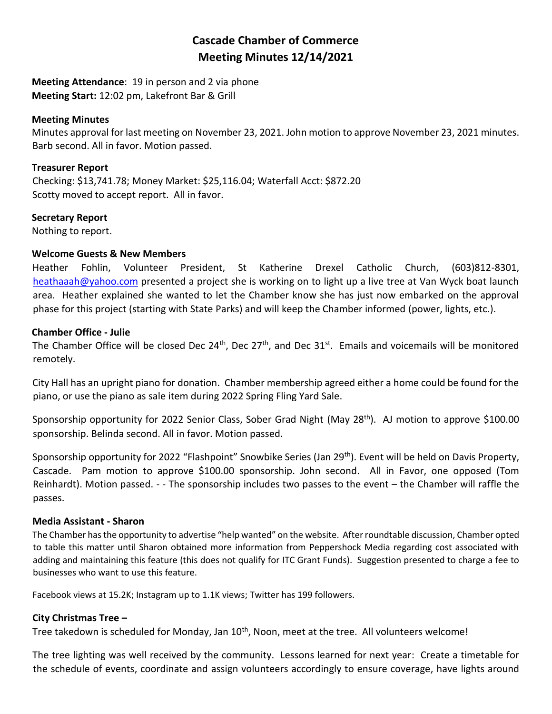# **Cascade Chamber of Commerce Meeting Minutes 12/14/2021**

**Meeting Attendance**: 19 in person and 2 via phone **Meeting Start:** 12:02 pm, Lakefront Bar & Grill

#### **Meeting Minutes**

Minutes approval for last meeting on November 23, 2021. John motion to approve November 23, 2021 minutes. Barb second. All in favor. Motion passed.

#### **Treasurer Report**

Checking: \$13,741.78; Money Market: \$25,116.04; Waterfall Acct: \$872.20 Scotty moved to accept report. All in favor.

### **Secretary Report**

Nothing to report.

### **Welcome Guests & New Members**

Heather Fohlin, Volunteer President, St Katherine Drexel Catholic Church, (603)812-8301, [heathaaah@yahoo.com](mailto:heathaaah@yahoo.com) presented a project she is working on to light up a live tree at Van Wyck boat launch area. Heather explained she wanted to let the Chamber know she has just now embarked on the approval phase for this project (starting with State Parks) and will keep the Chamber informed (power, lights, etc.).

#### **Chamber Office - Julie**

The Chamber Office will be closed Dec 24<sup>th</sup>, Dec 27<sup>th</sup>, and Dec 31<sup>st</sup>. Emails and voicemails will be monitored remotely.

City Hall has an upright piano for donation. Chamber membership agreed either a home could be found for the piano, or use the piano as sale item during 2022 Spring Fling Yard Sale.

Sponsorship opportunity for 2022 Senior Class, Sober Grad Night (May 28<sup>th</sup>). AJ motion to approve \$100.00 sponsorship. Belinda second. All in favor. Motion passed.

Sponsorship opportunity for 2022 "Flashpoint" Snowbike Series (Jan 29th). Event will be held on Davis Property, Cascade. Pam motion to approve \$100.00 sponsorship. John second. All in Favor, one opposed (Tom Reinhardt). Motion passed. - - The sponsorship includes two passes to the event – the Chamber will raffle the passes.

### **Media Assistant - Sharon**

The Chamber has the opportunity to advertise "help wanted" on the website. After roundtable discussion, Chamber opted to table this matter until Sharon obtained more information from Peppershock Media regarding cost associated with adding and maintaining this feature (this does not qualify for ITC Grant Funds). Suggestion presented to charge a fee to businesses who want to use this feature.

Facebook views at 15.2K; Instagram up to 1.1K views; Twitter has 199 followers.

### **City Christmas Tree –**

Tree takedown is scheduled for Monday, Jan 10<sup>th</sup>, Noon, meet at the tree. All volunteers welcome!

The tree lighting was well received by the community. Lessons learned for next year: Create a timetable for the schedule of events, coordinate and assign volunteers accordingly to ensure coverage, have lights around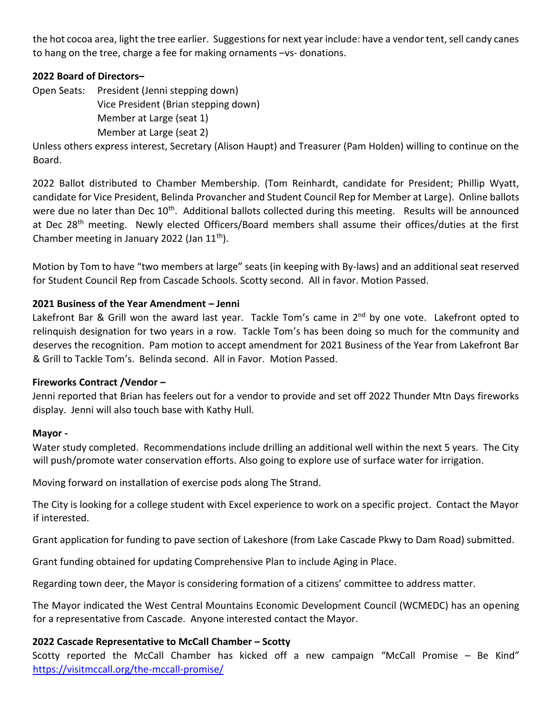the hot cocoa area, light the tree earlier. Suggestions for next year include: have a vendor tent, sell candy canes to hang on the tree, charge a fee for making ornaments –vs- donations.

# **2022 Board of Directors–**

Open Seats: President (Jenni stepping down)

Vice President (Brian stepping down)

Member at Large (seat 1)

Member at Large (seat 2)

Unless others express interest, Secretary (Alison Haupt) and Treasurer (Pam Holden) willing to continue on the Board.

2022 Ballot distributed to Chamber Membership. (Tom Reinhardt, candidate for President; Phillip Wyatt, candidate for Vice President, Belinda Provancher and Student Council Rep for Member at Large). Online ballots were due no later than Dec 10<sup>th</sup>. Additional ballots collected during this meeting. Results will be announced at Dec 28<sup>th</sup> meeting. Newly elected Officers/Board members shall assume their offices/duties at the first Chamber meeting in January 2022 (Jan  $11<sup>th</sup>$ ).

Motion by Tom to have "two members at large" seats (in keeping with By-laws) and an additional seat reserved for Student Council Rep from Cascade Schools. Scotty second. All in favor. Motion Passed.

# **2021 Business of the Year Amendment – Jenni**

Lakefront Bar & Grill won the award last year. Tackle Tom's came in 2<sup>nd</sup> by one vote. Lakefront opted to relinquish designation for two years in a row. Tackle Tom's has been doing so much for the community and deserves the recognition. Pam motion to accept amendment for 2021 Business of the Year from Lakefront Bar & Grill to Tackle Tom's. Belinda second. All in Favor. Motion Passed.

# **Fireworks Contract /Vendor –**

Jenni reported that Brian has feelers out for a vendor to provide and set off 2022 Thunder Mtn Days fireworks display. Jenni will also touch base with Kathy Hull.

# **Mayor -**

Water study completed. Recommendations include drilling an additional well within the next 5 years. The City will push/promote water conservation efforts. Also going to explore use of surface water for irrigation.

Moving forward on installation of exercise pods along The Strand.

The City is looking for a college student with Excel experience to work on a specific project. Contact the Mayor if interested.

Grant application for funding to pave section of Lakeshore (from Lake Cascade Pkwy to Dam Road) submitted.

Grant funding obtained for updating Comprehensive Plan to include Aging in Place.

Regarding town deer, the Mayor is considering formation of a citizens' committee to address matter.

The Mayor indicated the West Central Mountains Economic Development Council (WCMEDC) has an opening for a representative from Cascade. Anyone interested contact the Mayor.

# **2022 Cascade Representative to McCall Chamber – Scotty**

Scotty reported the McCall Chamber has kicked off a new campaign "McCall Promise – Be Kind" <https://visitmccall.org/the-mccall-promise/>